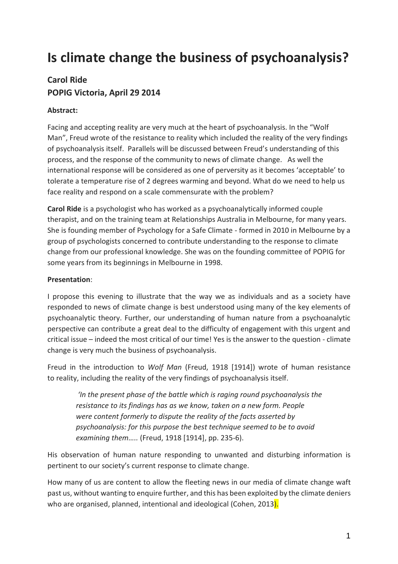# **Is climate change the business of psychoanalysis?**

# **Carol Ride POPIG Victoria, April 29 2014**

# **Abstract:**

Facing and accepting reality are very much at the heart of psychoanalysis. In the "Wolf Man", Freud wrote of the resistance to reality which included the reality of the very findings of psychoanalysis itself. Parallels will be discussed between Freud's understanding of this process, and the response of the community to news of climate change. As well the international response will be considered as one of perversity as it becomes 'acceptable' to tolerate a temperature rise of 2 degrees warming and beyond. What do we need to help us face reality and respond on a scale commensurate with the problem?

**Carol Ride** is a psychologist who has worked as a psychoanalytically informed couple therapist, and on the training team at Relationships Australia in Melbourne, for many years. She is founding member of Psychology for a Safe Climate - formed in 2010 in Melbourne by a group of psychologists concerned to contribute understanding to the response to climate change from our professional knowledge. She was on the founding committee of POPIG for some years from its beginnings in Melbourne in 1998.

## **Presentation**:

I propose this evening to illustrate that the way we as individuals and as a society have responded to news of climate change is best understood using many of the key elements of psychoanalytic theory. Further, our understanding of human nature from a psychoanalytic perspective can contribute a great deal to the difficulty of engagement with this urgent and critical issue – indeed the most critical of our time! Yes is the answer to the question - climate change is very much the business of psychoanalysis.

Freud in the introduction to *Wolf Man* (Freud, 1918 [1914]) wrote of human resistance to reality, including the reality of the very findings of psychoanalysis itself.

*'In the present phase of the battle which is raging round psychoanalysis the resistance to its findings has as we know, taken on a new form. People were content formerly to dispute the reality of the facts asserted by psychoanalysis: for this purpose the best technique seemed to be to avoid examining them…..* (Freud, 1918 [1914], pp. 235-6).

His observation of human nature responding to unwanted and disturbing information is pertinent to our society's current response to climate change.

How many of us are content to allow the fleeting news in our media of climate change waft past us, without wanting to enquire further, and this has been exploited by the climate deniers who are organised, planned, intentional and ideological (Cohen, 2013).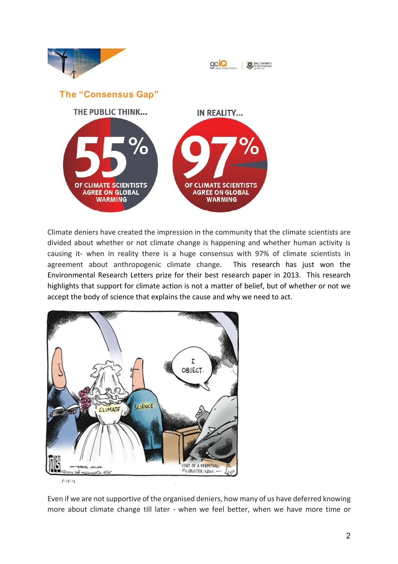

Climate deniers have created the impression in the community that the climate scientists are divided about whether or not climate change is happening and whether human activity is causing it- when in reality there is a huge consensus with 97% of climate scientists in agreement about anthropogenic climate change. This research has just won the Environmental Research Letters prize for their best research paper in 2013. This research highlights that support for climate action is not a matter of belief, but of whether or not we accept the body of science that explains the cause and why we need to act.



Even if we are not supportive of the organised deniers, how many of us have deferred knowing more about climate change till later - when we feel better, when we have more time or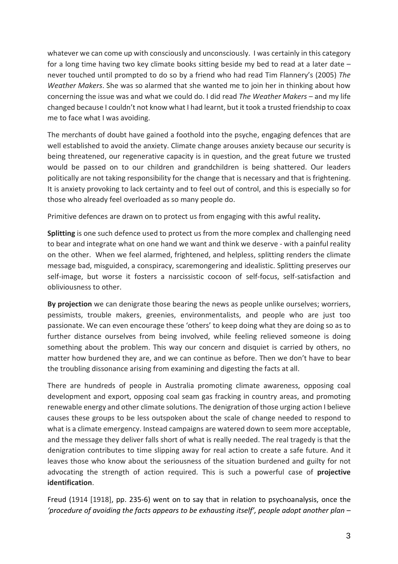whatever we can come up with consciously and unconsciously. I was certainly in this category for a long time having two key climate books sitting beside my bed to read at a later date  $$ never touched until prompted to do so by a friend who had read Tim Flannery's (2005) *The Weather Makers*. She was so alarmed that she wanted me to join her in thinking about how concerning the issue was and what we could do. I did read *The Weather Makers* – and my life changed because I couldn't not know what I had learnt, but it took a trusted friendship to coax me to face what I was avoiding.

The merchants of doubt have gained a foothold into the psyche, engaging defences that are well established to avoid the anxiety. Climate change arouses anxiety because our security is being threatened, our regenerative capacity is in question, and the great future we trusted would be passed on to our children and grandchildren is being shattered. Our leaders politically are not taking responsibility for the change that is necessary and that is frightening. It is anxiety provoking to lack certainty and to feel out of control, and this is especially so for those who already feel overloaded as so many people do.

Primitive defences are drawn on to protect us from engaging with this awful reality**.** 

**Splitting** is one such defence used to protect us from the more complex and challenging need to bear and integrate what on one hand we want and think we deserve - with a painful reality on the other. When we feel alarmed, frightened, and helpless, splitting renders the climate message bad, misguided, a conspiracy, scaremongering and idealistic. Splitting preserves our self-image, but worse it fosters a narcissistic cocoon of self-focus, self-satisfaction and obliviousness to other.

**By projection** we can denigrate those bearing the news as people unlike ourselves; worriers, pessimists, trouble makers, greenies, environmentalists, and people who are just too passionate. We can even encourage these 'others' to keep doing what they are doing so as to further distance ourselves from being involved, while feeling relieved someone is doing something about the problem. This way our concern and disquiet is carried by others, no matter how burdened they are, and we can continue as before. Then we don't have to bear the troubling dissonance arising from examining and digesting the facts at all.

There are hundreds of people in Australia promoting climate awareness, opposing coal development and export, opposing coal seam gas fracking in country areas, and promoting renewable energy and other climate solutions. The denigration of those urging action I believe causes these groups to be less outspoken about the scale of change needed to respond to what is a climate emergency. Instead campaigns are watered down to seem more acceptable, and the message they deliver falls short of what is really needed. The real tragedy is that the denigration contributes to time slipping away for real action to create a safe future. And it leaves those who know about the seriousness of the situation burdened and guilty for not advocating the strength of action required. This is such a powerful case of **projective identification**.

Freud (1914 [1918], pp. 235-6) went on to say that in relation to psychoanalysis, once the *'procedure of avoiding the facts appears to be exhausting itself', people adopt another plan –*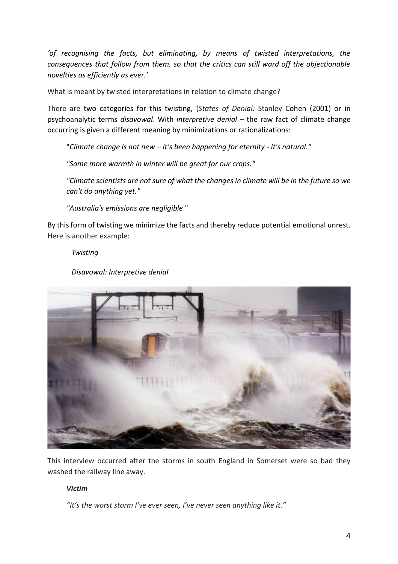*'of recognising the facts, but eliminating, by means of twisted interpretations, the consequences that follow from them, so that the critics can still ward off the objectionable novelties as efficiently as ever.'*

What is meant by twisted interpretations in relation to climate change?

There are two categories for this twisting, (*States of Denial:* Stanley Cohen (2001) or in psychoanalytic terms *disavowal*. With *interpretive denial* – the raw fact of climate change occurring is given a different meaning by minimizations or rationalizations:

"*Climate change is not new – it's been happening for eternity - it's natural."*

*"Some more warmth in winter will be great for our crops."*

*"Climate scientists are not sure of what the changes in climate will be in the future so we can't do anything yet."*

*"Australia's emissions are negligible*."

By this form of twisting we minimize the facts and thereby reduce potential emotional unrest. Here is another example:

*Twisting*

*Disavowal: Interpretive denial*



This interview occurred after the storms in south England in Somerset were so bad they washed the railway line away.

#### *Victim*

*"It's the worst storm I've ever seen, I've never seen anything like it."*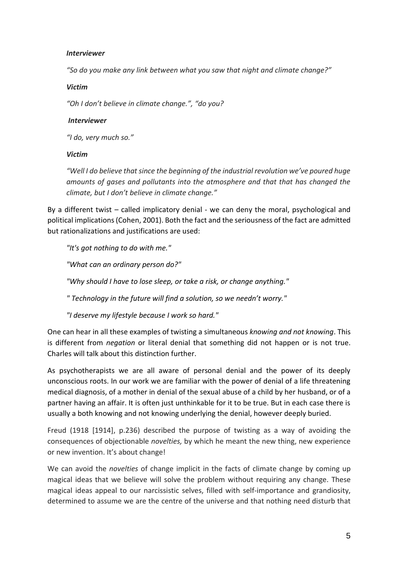# *Interviewer*

*"So do you make any link between what you saw that night and climate change?"*

#### *Victim*

*"Oh I don't believe in climate change.", "do you?*

#### *Interviewer*

*"I do, very much so."*

# *Victim*

*"Well I do believe that since the beginning of the industrial revolution we've poured huge amounts of gases and pollutants into the atmosphere and that that has changed the climate, but I don't believe in climate change."*

By a different twist – called implicatory denial - we can deny the moral, psychological and political implications (Cohen, 2001). Both the fact and the seriousness of the fact are admitted but rationalizations and justifications are used:

*"It's got nothing to do with me."*

*"What can an ordinary person do?"*

*"Why should I have to lose sleep, or take a risk, or change anything."*

*" Technology in the future will find a solution, so we needn't worry."*

*"I deserve my lifestyle because I work so hard."*

One can hear in all these examples of twisting a simultaneous *knowing and not knowing*. This is different from *negation* or literal denial that something did not happen or is not true. Charles will talk about this distinction further.

As psychotherapists we are all aware of personal denial and the power of its deeply unconscious roots. In our work we are familiar with the power of denial of a life threatening medical diagnosis, of a mother in denial of the sexual abuse of a child by her husband, or of a partner having an affair. It is often just unthinkable for it to be true. But in each case there is usually a both knowing and not knowing underlying the denial, however deeply buried.

Freud (1918 [1914], p.236) described the purpose of twisting as a way of avoiding the consequences of objectionable *novelties,* by which he meant the new thing, new experience or new invention. It's about change!

We can avoid the *novelties* of change implicit in the facts of climate change by coming up magical ideas that we believe will solve the problem without requiring any change. These magical ideas appeal to our narcissistic selves, filled with self-importance and grandiosity, determined to assume we are the centre of the universe and that nothing need disturb that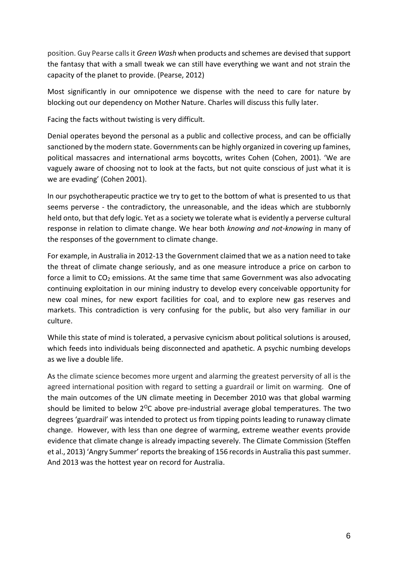position. Guy Pearse calls it *Green Wash* when products and schemes are devised that support the fantasy that with a small tweak we can still have everything we want and not strain the capacity of the planet to provide. (Pearse, 2012)

Most significantly in our omnipotence we dispense with the need to care for nature by blocking out our dependency on Mother Nature. Charles will discuss this fully later.

Facing the facts without twisting is very difficult.

Denial operates beyond the personal as a public and collective process, and can be officially sanctioned by the modern state. Governments can be highly organized in covering up famines, political massacres and international arms boycotts, writes Cohen (Cohen, 2001). 'We are vaguely aware of choosing not to look at the facts, but not quite conscious of just what it is we are evading' (Cohen 2001).

In our psychotherapeutic practice we try to get to the bottom of what is presented to us that seems perverse - the contradictory, the unreasonable, and the ideas which are stubbornly held onto, but that defy logic. Yet as a society we tolerate what is evidently a perverse cultural response in relation to climate change. We hear both *knowing and not-knowing* in many of the responses of the government to climate change.

For example, in Australia in 2012-13 the Government claimed that we as a nation need to take the threat of climate change seriously, and as one measure introduce a price on carbon to force a limit to  $CO<sub>2</sub>$  emissions. At the same time that same Government was also advocating continuing exploitation in our mining industry to develop every conceivable opportunity for new coal mines, for new export facilities for coal, and to explore new gas reserves and markets. This contradiction is very confusing for the public, but also very familiar in our culture.

While this state of mind is tolerated, a pervasive cynicism about political solutions is aroused, which feeds into individuals being disconnected and apathetic. A psychic numbing develops as we live a double life.

As the climate science becomes more urgent and alarming the greatest perversity of all is the agreed international position with regard to setting a guardrail or limit on warming. One of the main outcomes of the UN climate meeting in December 2010 was that global warming should be limited to below  $2^{0}C$  above pre-industrial average global temperatures. The two degrees 'guardrail' was intended to protect us from tipping points leading to runaway climate change. However, with less than one degree of warming, extreme weather events provide evidence that climate change is already impacting severely. The Climate Commission (Steffen et al., 2013) 'Angry Summer' reports the breaking of 156 records in Australia this past summer. And 2013 was the hottest year on record for Australia.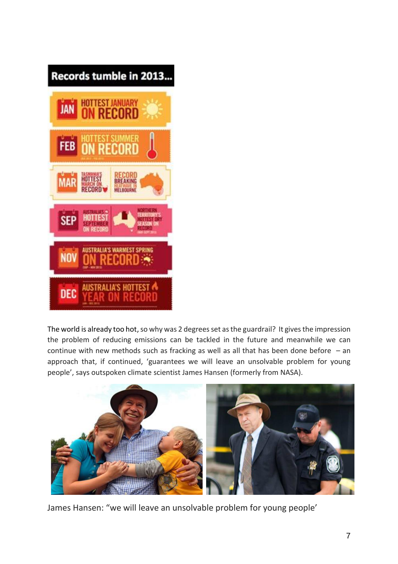

The world is already too hot, so why was 2 degrees set as the guardrail? It gives the impression the problem of reducing emissions can be tackled in the future and meanwhile we can continue with new methods such as fracking as well as all that has been done before  $-$  an approach that, if continued, 'guarantees we will leave an unsolvable problem for young people', says outspoken climate scientist James Hansen (formerly from NASA).



James Hansen: "we will leave an unsolvable problem for young people'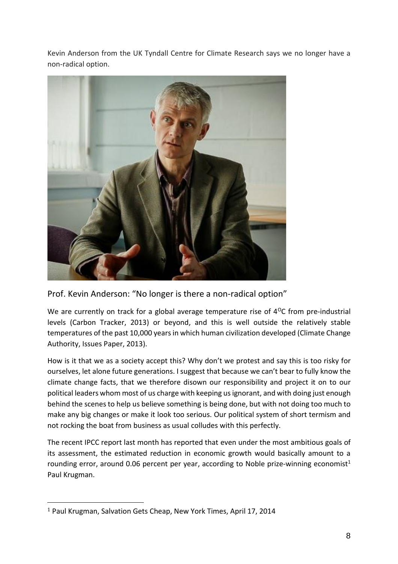Kevin Anderson from the UK Tyndall Centre for Climate Research says we no longer have a non-radical option.



Prof. Kevin Anderson: "No longer is there a non-radical option"

We are currently on track for a global average temperature rise of  $4^{\circ}$ C from pre-industrial levels (Carbon Tracker, 2013) or beyond, and this is well outside the relatively stable temperatures of the past 10,000 years in which human civilization developed (Climate Change Authority, Issues Paper, 2013).

How is it that we as a society accept this? Why don't we protest and say this is too risky for ourselves, let alone future generations. I suggest that because we can't bear to fully know the climate change facts, that we therefore disown our responsibility and project it on to our political leaders whom most of us charge with keeping us ignorant, and with doing just enough behind the scenes to help us believe something is being done, but with not doing too much to make any big changes or make it look too serious. Our political system of short termism and not rocking the boat from business as usual colludes with this perfectly.

The recent IPCC report last month has reported that even under the most ambitious goals of its assessment, the estimated reduction in economic growth would basically amount to a rounding error, around 0.06 percent per year, according to Noble prize-winning economist<sup>1</sup> Paul Krugman.

<sup>1</sup> Paul Krugman, Salvation Gets Cheap, New York Times, April 17, 2014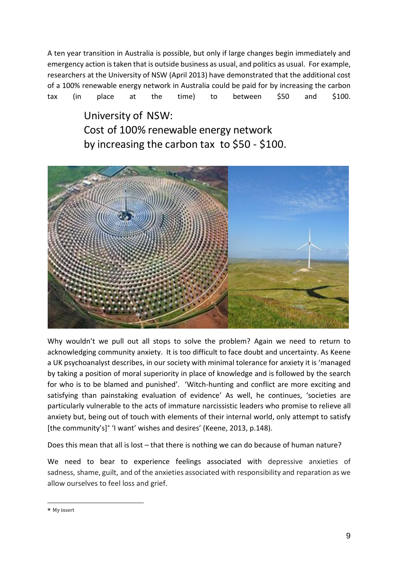A ten year transition in Australia is possible, but only if large changes begin immediately and emergency action is taken that is outside business as usual, and politics as usual. For example, researchers at the University of NSW (April 2013) have demonstrated that the additional cost of a 100% renewable energy network in Australia could be paid for by increasing the carbon tax (in place at the time) to between \$50 and \$100.

> University of NSW: Cost of 100% renewable energy network by increasing the carbon tax to  $$50 - $100$ .



Why wouldn't we pull out all stops to solve the problem? Again we need to return to acknowledging community anxiety. It is too difficult to face doubt and uncertainty. As Keene a UK psychoanalyst describes, in our society with minimal tolerance for anxiety it is 'managed by taking a position of moral superiority in place of knowledge and is followed by the search for who is to be blamed and punished'. 'Witch-hunting and conflict are more exciting and satisfying than painstaking evaluation of evidence' As well, he continues, 'societies are particularly vulnerable to the acts of immature narcissistic leaders who promise to relieve all anxiety but, being out of touch with elements of their internal world, only attempt to satisfy [the community's]\* 'I want' wishes and desires' (Keene, 2013, p.148).

Does this mean that all is lost – that there is nothing we can do because of human nature?

We need to bear to experience feelings associated with depressive anxieties of sadness, shame, guilt, and of the anxieties associated with responsibility and reparation as we allow ourselves to feel loss and grief.

<sup>\*</sup> My insert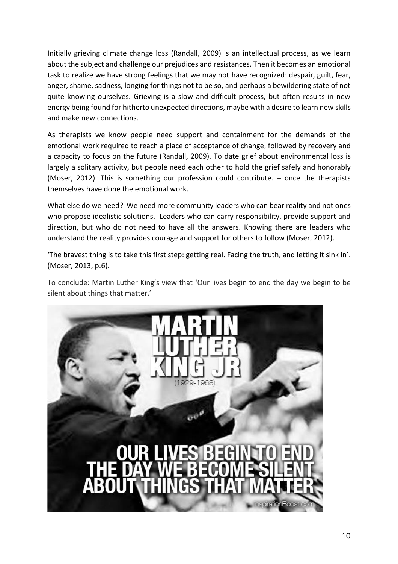Initially grieving climate change loss (Randall, 2009) is an intellectual process, as we learn about the subject and challenge our prejudices and resistances. Then it becomes an emotional task to realize we have strong feelings that we may not have recognized: despair, guilt, fear, anger, shame, sadness, longing for things not to be so, and perhaps a bewildering state of not quite knowing ourselves. Grieving is a slow and difficult process, but often results in new energy being found for hitherto unexpected directions, maybe with a desire to learn new skills and make new connections.

As therapists we know people need support and containment for the demands of the emotional work required to reach a place of acceptance of change, followed by recovery and a capacity to focus on the future (Randall, 2009). To date grief about environmental loss is largely a solitary activity, but people need each other to hold the grief safely and honorably (Moser, 2012). This is something our profession could contribute. – once the therapists themselves have done the emotional work.

What else do we need? We need more community leaders who can bear reality and not ones who propose idealistic solutions. Leaders who can carry responsibility, provide support and direction, but who do not need to have all the answers. Knowing there are leaders who understand the reality provides courage and support for others to follow (Moser, 2012).

'The bravest thing is to take this first step: getting real. Facing the truth, and letting it sink in'. (Moser, 2013, p.6).

To conclude: Martin Luther King's view that 'Our lives begin to end the day we begin to be silent about things that matter.'